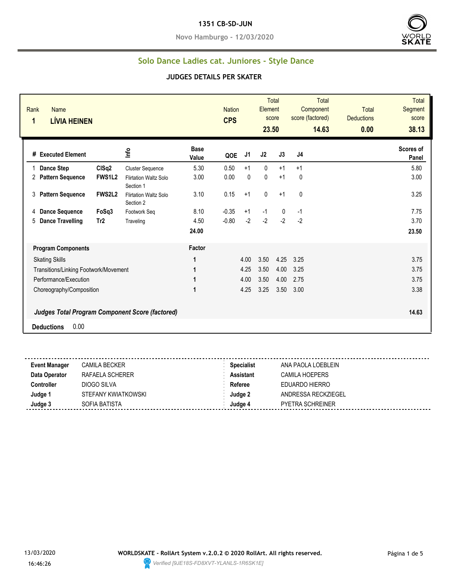#### **1351 CB-SD-JUN**

**Novo Hamburgo - 12/03/2020**



### **Solo Dance Ladies cat. Juniores - Style Dance**

| Rank<br><b>Name</b><br><b>LÍVIA HEINEN</b><br>1        |               |                                           |                      | <b>Nation</b><br><b>CPS</b> |                | <b>Element</b><br>23.50 | <b>Total</b><br>score | <b>Total</b><br>Component<br>score (factored)<br>14.63 | <b>Total</b><br><b>Deductions</b><br>0.00 | <b>Total</b><br>Segment<br>score<br>38.13 |
|--------------------------------------------------------|---------------|-------------------------------------------|----------------------|-----------------------------|----------------|-------------------------|-----------------------|--------------------------------------------------------|-------------------------------------------|-------------------------------------------|
| # Executed Element                                     |               | lnfo                                      | <b>Base</b><br>Value | QOE                         | J <sub>1</sub> | J2                      | J3                    | J4                                                     |                                           | Scores of<br>Panel                        |
| <b>Dance Step</b>                                      | CISq2         | <b>Cluster Sequence</b>                   | 5.30                 | 0.50                        | $+1$           | $\mathbf{0}$            | $+1$                  | $+1$                                                   |                                           | 5.80                                      |
| <b>Pattern Sequence</b><br>2                           | <b>FWS1L2</b> | <b>Flirtation Waltz Solo</b><br>Section 1 | 3.00                 | 0.00                        | 0              | 0                       | $+1$                  | 0                                                      |                                           | 3.00                                      |
| <b>Pattern Sequence</b><br>3                           | <b>FWS2L2</b> | <b>Flirtation Waltz Solo</b><br>Section 2 | 3.10                 | 0.15                        | $+1$           | $\mathbf 0$             | $+1$                  | 0                                                      |                                           | 3.25                                      |
| <b>Dance Sequence</b><br>4                             | FoSq3         | Footwork Seg                              | 8.10                 | $-0.35$                     | $+1$           | $-1$                    | $\mathbf 0$           | $-1$                                                   |                                           | 7.75                                      |
| <b>Dance Travelling</b><br>5                           | Tr2           | Traveling                                 | 4.50                 | $-0.80$                     | $-2$           | $-2$                    | $-2$                  | $-2$                                                   |                                           | 3.70                                      |
|                                                        |               |                                           | 24.00                |                             |                |                         |                       |                                                        |                                           | 23.50                                     |
| <b>Program Components</b>                              |               |                                           | Factor               |                             |                |                         |                       |                                                        |                                           |                                           |
| <b>Skating Skills</b>                                  |               |                                           | 1                    |                             | 4.00           | 3.50                    | 4.25                  | 3.25                                                   |                                           | 3.75                                      |
| Transitions/Linking Footwork/Movement                  |               |                                           |                      |                             | 4.25           | 3.50                    | 4.00                  | 3.25                                                   |                                           | 3.75                                      |
| Performance/Execution                                  |               |                                           | 1                    |                             | 4.00           | 3.50                    | 4.00                  | 2.75                                                   |                                           | 3.75                                      |
| Choreography/Composition                               |               |                                           | 1                    |                             | 4.25           | 3.25                    | 3.50                  | 3.00                                                   |                                           | 3.38                                      |
| <b>Judges Total Program Component Score (factored)</b> |               |                                           |                      |                             |                |                         |                       |                                                        |                                           | 14.63                                     |
| 0.00<br><b>Deductions</b>                              |               |                                           |                      |                             |                |                         |                       |                                                        |                                           |                                           |

| <b>Event Manager</b> | CAMILA BECKER       | <b>Specialist</b> | ANA PAOLA LOEBLEIN      |
|----------------------|---------------------|-------------------|-------------------------|
| Data Operator        | RAFAELA SCHERER     | <b>Assistant</b>  | CAMILA HOEPERS          |
| Controller           | DIOGO SILVA         | Referee           | EDUARDO HIERRO          |
| Judge 1              | STEFANY KWIATKOWSKI | Judge 2           | ANDRESSA RECKZIEGEL     |
| Judge 3              | SOFIA BATISTA       | Judae 4           | <b>PYETRA SCHREINER</b> |
|                      |                     |                   |                         |

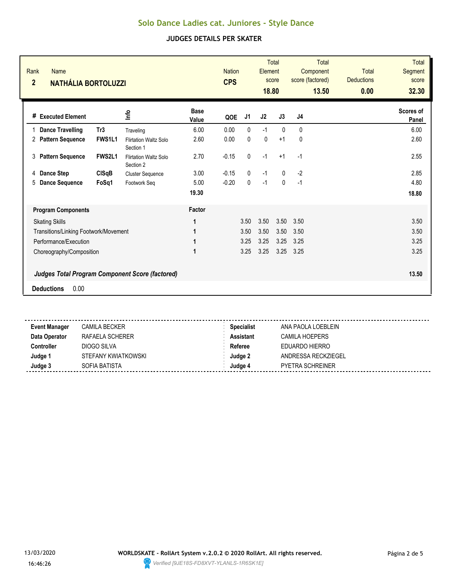| <b>Base</b><br>울<br># Executed Element<br>J3<br>J1<br>J4<br>J2<br>QOE<br>Value<br>6.00<br>$-1$<br>0.00<br>$\mathbf{0}$<br>$\Omega$<br>$\Omega$<br><b>Dance Travelling</b><br>Tr <sub>3</sub><br>Traveling<br>$\mathbf 0$<br><b>Pattern Sequence</b><br>FWS1L1<br>2.60<br>0.00<br>$\mathbf{0}$<br>$+1$<br>$\mathbf{0}$<br>2<br><b>Flirtation Waltz Solo</b><br>Section 1<br>$-1$<br>0<br>FWS2L1<br>2.70<br>$-0.15$<br>$+1$<br>$-1$<br><b>Pattern Sequence</b><br>3<br><b>Flirtation Waltz Solo</b><br>Section 2<br>$-1$<br>$-2$<br>3.00<br>$-0.15$<br>0<br>$\Omega$<br><b>Dance Step</b><br>CISqB<br>4<br><b>Cluster Sequence</b><br>$-1$<br>$-0.20$<br>$\mathbf{0}$<br>5<br><b>Dance Sequence</b><br>FoSq1<br>5.00<br>$\Omega$<br>$-1$<br>Footwork Seg<br>19.30 | <b>Total</b><br>Segment<br>score<br>32.30 | <b>Total</b><br><b>Deductions</b><br>0.00 | <b>Total</b><br>Component<br>score (factored)<br>13.50 | <b>Total</b><br>score | Element<br>18.80 | <b>Nation</b><br><b>CPS</b> |        |  | <b>Name</b><br><b>NATHÁLIA BORTOLUZZI</b> | Rank<br>$\overline{2}$ |
|-----------------------------------------------------------------------------------------------------------------------------------------------------------------------------------------------------------------------------------------------------------------------------------------------------------------------------------------------------------------------------------------------------------------------------------------------------------------------------------------------------------------------------------------------------------------------------------------------------------------------------------------------------------------------------------------------------------------------------------------------------------------|-------------------------------------------|-------------------------------------------|--------------------------------------------------------|-----------------------|------------------|-----------------------------|--------|--|-------------------------------------------|------------------------|
|                                                                                                                                                                                                                                                                                                                                                                                                                                                                                                                                                                                                                                                                                                                                                                 | Scores of<br>Panel                        |                                           |                                                        |                       |                  |                             |        |  |                                           |                        |
|                                                                                                                                                                                                                                                                                                                                                                                                                                                                                                                                                                                                                                                                                                                                                                 | 6.00                                      |                                           |                                                        |                       |                  |                             |        |  |                                           |                        |
|                                                                                                                                                                                                                                                                                                                                                                                                                                                                                                                                                                                                                                                                                                                                                                 | 2.60                                      |                                           |                                                        |                       |                  |                             |        |  |                                           |                        |
|                                                                                                                                                                                                                                                                                                                                                                                                                                                                                                                                                                                                                                                                                                                                                                 | 2.55                                      |                                           |                                                        |                       |                  |                             |        |  |                                           |                        |
|                                                                                                                                                                                                                                                                                                                                                                                                                                                                                                                                                                                                                                                                                                                                                                 | 2.85                                      |                                           |                                                        |                       |                  |                             |        |  |                                           |                        |
|                                                                                                                                                                                                                                                                                                                                                                                                                                                                                                                                                                                                                                                                                                                                                                 | 4.80                                      |                                           |                                                        |                       |                  |                             |        |  |                                           |                        |
|                                                                                                                                                                                                                                                                                                                                                                                                                                                                                                                                                                                                                                                                                                                                                                 | 18.80                                     |                                           |                                                        |                       |                  |                             |        |  |                                           |                        |
|                                                                                                                                                                                                                                                                                                                                                                                                                                                                                                                                                                                                                                                                                                                                                                 |                                           |                                           |                                                        |                       |                  |                             | Factor |  | <b>Program Components</b>                 |                        |
| 3.50<br>3.50<br>1<br>3.50<br>3.50<br><b>Skating Skills</b>                                                                                                                                                                                                                                                                                                                                                                                                                                                                                                                                                                                                                                                                                                      | 3.50                                      |                                           |                                                        |                       |                  |                             |        |  |                                           |                        |
| 3.50<br>3.50<br>3.50<br>3.50<br>Transitions/Linking Footwork/Movement<br>1                                                                                                                                                                                                                                                                                                                                                                                                                                                                                                                                                                                                                                                                                      | 3.50                                      |                                           |                                                        |                       |                  |                             |        |  |                                           |                        |
| Performance/Execution<br>3.25<br>3.25<br>3.25<br>3.25<br>1                                                                                                                                                                                                                                                                                                                                                                                                                                                                                                                                                                                                                                                                                                      | 3.25                                      |                                           |                                                        |                       |                  |                             |        |  |                                           |                        |
| 3.25<br>3.25<br>3.25<br>Choreography/Composition<br>1<br>3.25                                                                                                                                                                                                                                                                                                                                                                                                                                                                                                                                                                                                                                                                                                   | 3.25                                      |                                           |                                                        |                       |                  |                             |        |  |                                           |                        |
| <b>Judges Total Program Component Score (factored)</b>                                                                                                                                                                                                                                                                                                                                                                                                                                                                                                                                                                                                                                                                                                          | 13.50                                     |                                           |                                                        |                       |                  |                             |        |  |                                           |                        |
| 0.00<br><b>Deductions</b>                                                                                                                                                                                                                                                                                                                                                                                                                                                                                                                                                                                                                                                                                                                                       |                                           |                                           |                                                        |                       |                  |                             |        |  |                                           |                        |

| <b>Event Manager</b> | CAMILA BECKER       | <b>Specialist</b> | ANA PAOLA LOEBLEIN      |
|----------------------|---------------------|-------------------|-------------------------|
| Data Operator        | RAFAELA SCHERER     | Assistant         | CAMILA HOEPERS          |
| Controller           | DIOGO SILVA         | Referee           | EDUARDO HIERRO          |
| Judge 1              | STEFANY KWIATKOWSKI | Judae 2           | ANDRESSA RECKZIEGEL     |
| Judge 3              | SOFIA BATISTA       | Judge 4           | <b>PYETRA SCHREINER</b> |
|                      |                     |                   |                         |

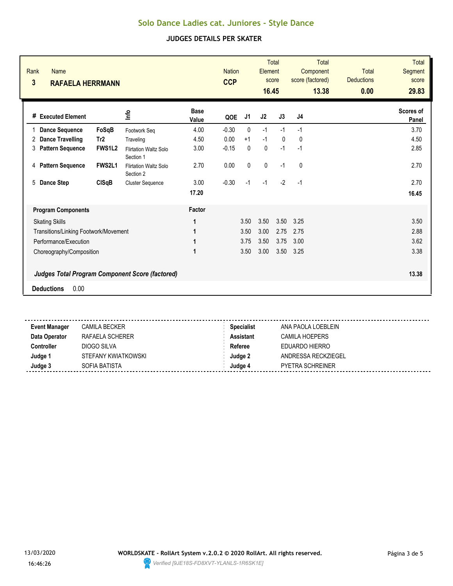| Rank<br>Name<br>$\mathbf{3}$<br><b>RAFAELA HERRMANN</b> |               |                                                        |                      | <b>Nation</b><br><b>CCP</b> |      | Element<br>16.45 | <b>Total</b><br>score | <b>Total</b><br>Component<br>score (factored)<br>13.38 | <b>Total</b><br><b>Deductions</b><br>0.00 | <b>Total</b><br>Segment<br>score<br>29.83 |
|---------------------------------------------------------|---------------|--------------------------------------------------------|----------------------|-----------------------------|------|------------------|-----------------------|--------------------------------------------------------|-------------------------------------------|-------------------------------------------|
| # Executed Element                                      |               | 울                                                      | <b>Base</b><br>Value | QOE                         | J1   | J2               | J3                    | J <sub>4</sub>                                         |                                           | Scores of<br>Panel                        |
| <b>Dance Sequence</b><br>1                              | FoSqB         | Footwork Seq                                           | 4.00                 | $-0.30$                     | 0    | $-1$             | $-1$                  | $-1$                                                   |                                           | 3.70                                      |
| <b>Dance Travelling</b><br>2                            | Tr2           | Traveling                                              | 4.50                 | 0.00                        | $+1$ | $-1$             | $\mathbf{0}$          | $\mathbf{0}$                                           |                                           | 4.50                                      |
| 3<br><b>Pattern Sequence</b>                            | <b>FWS1L2</b> | <b>Flirtation Waltz Solo</b><br>Section 1              | 3.00                 | $-0.15$                     | 0    | $\mathbf{0}$     | $-1$                  | $-1$                                                   |                                           | 2.85                                      |
| <b>Pattern Sequence</b><br>4                            | FWS2L1        | <b>Flirtation Waltz Solo</b><br>Section 2              | 2.70                 | 0.00                        | 0    | $\mathbf 0$      | $-1$                  | $\mathbf{0}$                                           |                                           | 2.70                                      |
| 5<br><b>Dance Step</b>                                  | <b>CISqB</b>  | <b>Cluster Sequence</b>                                | 3.00                 | $-0.30$                     | $-1$ | $-1$             | $-2$                  | $-1$                                                   |                                           | 2.70                                      |
|                                                         |               |                                                        | 17.20                |                             |      |                  |                       |                                                        |                                           | 16.45                                     |
| <b>Program Components</b>                               |               |                                                        | Factor               |                             |      |                  |                       |                                                        |                                           |                                           |
| <b>Skating Skills</b>                                   |               |                                                        | 1                    |                             | 3.50 | 3.50             | 3.50                  | 3.25                                                   |                                           | 3.50                                      |
| Transitions/Linking Footwork/Movement                   |               |                                                        | 1                    |                             | 3.50 | 3.00             | 2.75                  | 2.75                                                   |                                           | 2.88                                      |
| Performance/Execution                                   |               |                                                        | 1                    |                             | 3.75 | 3.50             | 3.75                  | 3.00                                                   |                                           | 3.62                                      |
| Choreography/Composition                                |               |                                                        | 1                    |                             | 3.50 | 3.00             | 3.50                  | 3.25                                                   |                                           | 3.38                                      |
|                                                         |               | <b>Judges Total Program Component Score (factored)</b> |                      |                             |      |                  |                       |                                                        |                                           | 13.38                                     |
| 0.00<br><b>Deductions</b>                               |               |                                                        |                      |                             |      |                  |                       |                                                        |                                           |                                           |

| <b>Event Manager</b> | CAMILA BECKER       | <b>Specialist</b> | ANA PAOLA LOEBLEIN      |
|----------------------|---------------------|-------------------|-------------------------|
| Data Operator        | RAFAELA SCHERER     | Assistant         | CAMILA HOEPERS          |
| Controller           | DIOGO SILVA         | Referee           | EDUARDO HIERRO          |
| Judge 1              | STEFANY KWIATKOWSKI | Judae 2           | ANDRESSA RECKZIEGEL     |
| Judge 3              | SOFIA BATISTA       | Judge 4           | <b>PYETRA SCHREINER</b> |
|                      |                     |                   |                         |

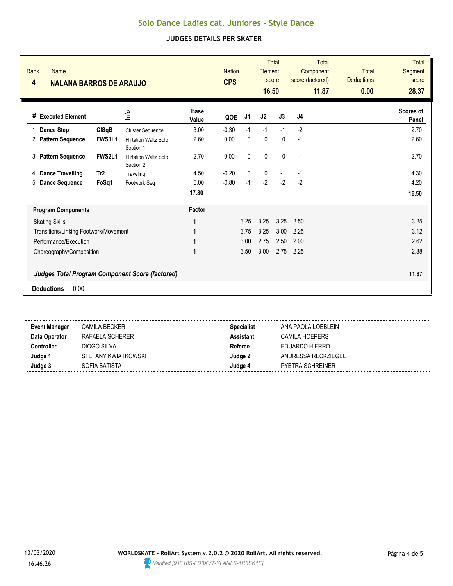| Rank<br><b>Name</b><br>4<br><b>NALANA BARROS DE ARAUJO</b> |                                           |                      | <b>Nation</b><br><b>CPS</b> |           | Element<br>16.50 | <b>Total</b><br>score | <b>Total</b><br>Component<br>score (factored)<br>11.87 | <b>Total</b><br><b>Deductions</b><br>0.00 | <b>Total</b><br>Segment<br>score<br>28.37 |
|------------------------------------------------------------|-------------------------------------------|----------------------|-----------------------------|-----------|------------------|-----------------------|--------------------------------------------------------|-------------------------------------------|-------------------------------------------|
| # Executed Element                                         | 울                                         | <b>Base</b><br>Value | QOE                         | J1        | J <sub>2</sub>   | J3                    | J4                                                     |                                           | Scores of<br>Panel                        |
| <b>Dance Step</b><br><b>CISqB</b><br>1                     | <b>Cluster Sequence</b>                   | 3.00                 | $-0.30$                     | $-1$      | $-1$             | $-1$                  | $-2$                                                   |                                           | 2.70                                      |
| <b>Pattern Sequence</b><br><b>FWS1L1</b><br>2              | <b>Flirtation Waltz Solo</b><br>Section 1 | 2.60                 | 0.00                        | 0         | $\mathbf{0}$     | $\mathbf{0}$          | $-1$                                                   |                                           | 2.60                                      |
| <b>FWS2L1</b><br><b>Pattern Sequence</b><br>3              | <b>Flirtation Waltz Solo</b><br>Section 2 | 2.70                 | 0.00                        | $\pmb{0}$ | $\pmb{0}$        | $\mathbf 0$           | $-1$                                                   |                                           | 2.70                                      |
| Tr2<br><b>Dance Travelling</b><br>4                        | Traveling                                 | 4.50                 | $-0.20$                     | 0         | 0                | $-1$                  | $-1$                                                   |                                           | 4.30                                      |
| 5<br><b>Dance Sequence</b><br>FoSq1                        | Footwork Seq                              | 5.00                 | $-0.80$                     | $-1$      | $-2$             | $-2$                  | $-2$                                                   |                                           | 4.20                                      |
|                                                            |                                           | 17.80                |                             |           |                  |                       |                                                        |                                           | 16.50                                     |
| <b>Program Components</b>                                  |                                           | Factor               |                             |           |                  |                       |                                                        |                                           |                                           |
| <b>Skating Skills</b>                                      |                                           | 1                    |                             | 3.25      | 3.25             | 3.25                  | 2.50                                                   |                                           | 3.25                                      |
| Transitions/Linking Footwork/Movement                      |                                           | 1                    |                             | 3.75      | 3.25             | 3.00                  | 2.25                                                   |                                           | 3.12                                      |
| Performance/Execution                                      |                                           | 1                    |                             | 3.00      | 2.75             | 2.50                  | 2.00                                                   |                                           | 2.62                                      |
| Choreography/Composition                                   |                                           | 1                    |                             | 3.50      | 3.00             | 2.75                  | 2.25                                                   |                                           | 2.88                                      |
| <b>Judges Total Program Component Score (factored)</b>     |                                           |                      |                             |           |                  |                       |                                                        |                                           | 11.87                                     |
| 0.00<br><b>Deductions</b>                                  |                                           |                      |                             |           |                  |                       |                                                        |                                           |                                           |

| <b>Event Manager</b> | CAMILA BECKER       | <b>Specialist</b> | ANA PAOLA LOEBLEIN  |  |
|----------------------|---------------------|-------------------|---------------------|--|
| Data Operator        | RAFAELA SCHERER     | <b>Assistant</b>  | CAMILA HOEPERS      |  |
| Controller           | DIOGO SILVA         | Referee           | EDUARDO HIERRO      |  |
| Judge 1              | STEFANY KWIATKOWSKI | Judge 2           | ANDRESSA RECKZIEGEL |  |
| Judge 3              | SOFIA BATISTA       | Judae 4           | PYETRA SCHREINER    |  |
|                      |                     |                   |                     |  |